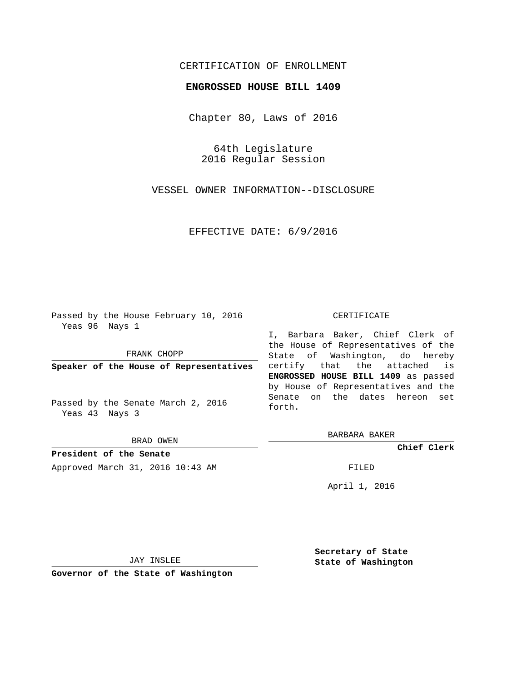## CERTIFICATION OF ENROLLMENT

## **ENGROSSED HOUSE BILL 1409**

Chapter 80, Laws of 2016

64th Legislature 2016 Regular Session

VESSEL OWNER INFORMATION--DISCLOSURE

EFFECTIVE DATE: 6/9/2016

Passed by the House February 10, 2016 Yeas 96 Nays 1

FRANK CHOPP

**Speaker of the House of Representatives**

Passed by the Senate March 2, 2016 Yeas 43 Nays 3

BRAD OWEN

**President of the Senate** Approved March 31, 2016 10:43 AM FILED

## CERTIFICATE

I, Barbara Baker, Chief Clerk of the House of Representatives of the State of Washington, do hereby certify that the attached is **ENGROSSED HOUSE BILL 1409** as passed by House of Representatives and the Senate on the dates hereon set forth.

BARBARA BAKER

**Chief Clerk**

April 1, 2016

JAY INSLEE

**Governor of the State of Washington**

**Secretary of State State of Washington**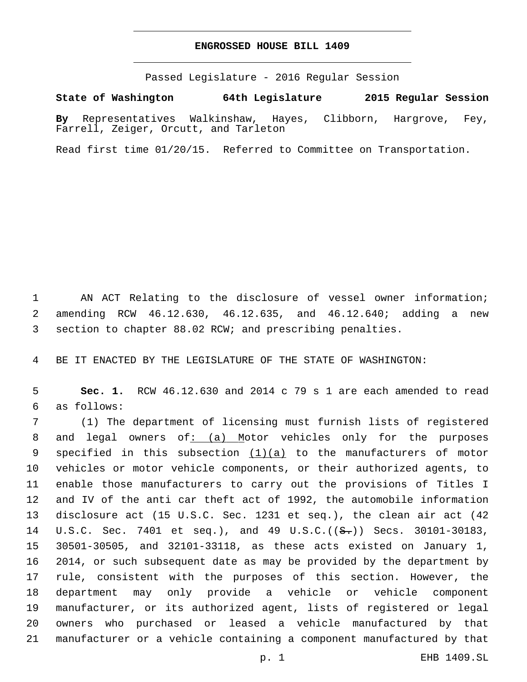## **ENGROSSED HOUSE BILL 1409**

Passed Legislature - 2016 Regular Session

**State of Washington 64th Legislature 2015 Regular Session**

**By** Representatives Walkinshaw, Hayes, Clibborn, Hargrove, Fey, Farrell, Zeiger, Orcutt, and Tarleton

Read first time 01/20/15. Referred to Committee on Transportation.

 AN ACT Relating to the disclosure of vessel owner information; amending RCW 46.12.630, 46.12.635, and 46.12.640; adding a new section to chapter 88.02 RCW; and prescribing penalties.

BE IT ENACTED BY THE LEGISLATURE OF THE STATE OF WASHINGTON:

 **Sec. 1.** RCW 46.12.630 and 2014 c 79 s 1 are each amended to read as follows:6

 (1) The department of licensing must furnish lists of registered 8 and legal owners of $: (a)$  Motor vehicles only for the purposes 9 specified in this subsection  $(1)(a)$  to the manufacturers of motor vehicles or motor vehicle components, or their authorized agents, to enable those manufacturers to carry out the provisions of Titles I and IV of the anti car theft act of 1992, the automobile information disclosure act (15 U.S.C. Sec. 1231 et seq.), the clean air act (42 14 U.S.C. Sec. 7401 et seq.), and 49 U.S.C.((S.)) Secs. 30101-30183, 30501-30505, and 32101-33118, as these acts existed on January 1, 2014, or such subsequent date as may be provided by the department by rule, consistent with the purposes of this section. However, the department may only provide a vehicle or vehicle component manufacturer, or its authorized agent, lists of registered or legal owners who purchased or leased a vehicle manufactured by that manufacturer or a vehicle containing a component manufactured by that

p. 1 EHB 1409.SL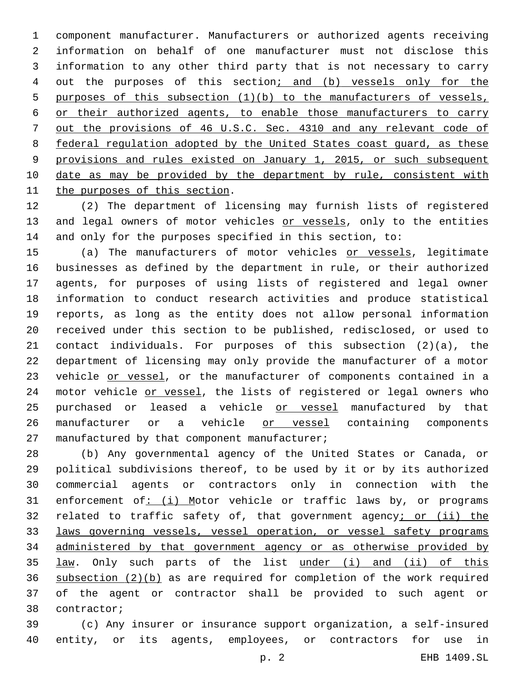component manufacturer. Manufacturers or authorized agents receiving information on behalf of one manufacturer must not disclose this information to any other third party that is not necessary to carry 4 out the purposes of this section; and (b) vessels only for the purposes of this subsection (1)(b) to the manufacturers of vessels, or their authorized agents, to enable those manufacturers to carry out the provisions of 46 U.S.C. Sec. 4310 and any relevant code of federal regulation adopted by the United States coast guard, as these provisions and rules existed on January 1, 2015, or such subsequent 10 date as may be provided by the department by rule, consistent with 11 the purposes of this section.

 (2) The department of licensing may furnish lists of registered 13 and legal owners of motor vehicles or vessels, only to the entities and only for the purposes specified in this section, to:

15 (a) The manufacturers of motor vehicles or vessels, legitimate businesses as defined by the department in rule, or their authorized agents, for purposes of using lists of registered and legal owner information to conduct research activities and produce statistical reports, as long as the entity does not allow personal information received under this section to be published, redisclosed, or used to contact individuals. For purposes of this subsection (2)(a), the department of licensing may only provide the manufacturer of a motor 23 vehicle or vessel, or the manufacturer of components contained in a 24 motor vehicle or vessel, the lists of registered or legal owners who 25 purchased or leased a vehicle or vessel manufactured by that 26 manufacturer or a vehicle or vessel containing components manufactured by that component manufacturer;

 (b) Any governmental agency of the United States or Canada, or political subdivisions thereof, to be used by it or by its authorized commercial agents or contractors only in connection with the 31 enforcement of: (i) Motor vehicle or traffic laws by, or programs 32 related to traffic safety of, that government agency; or (ii) the laws governing vessels, vessel operation, or vessel safety programs administered by that government agency or as otherwise provided by 35 law. Only such parts of the list under (i) and (ii) of this subsection (2)(b) as are required for completion of the work required of the agent or contractor shall be provided to such agent or 38 contractor;

 (c) Any insurer or insurance support organization, a self-insured entity, or its agents, employees, or contractors for use in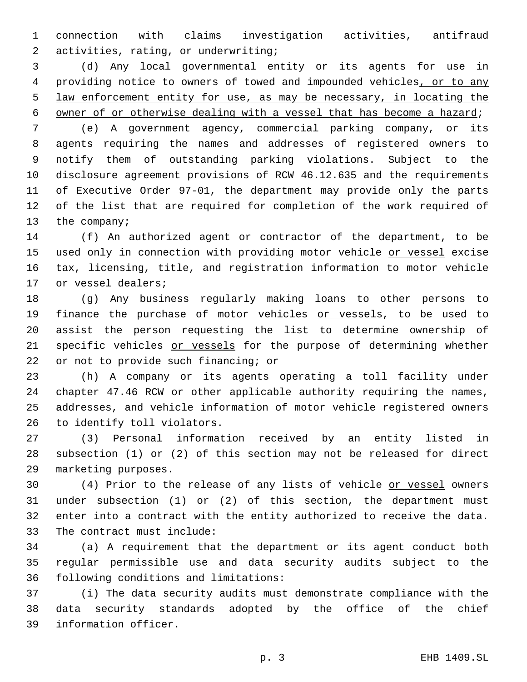connection with claims investigation activities, antifraud activities, rating, or underwriting;2

 (d) Any local governmental entity or its agents for use in providing notice to owners of towed and impounded vehicles, or to any law enforcement entity for use, as may be necessary, in locating the owner of or otherwise dealing with a vessel that has become a hazard;

 (e) A government agency, commercial parking company, or its agents requiring the names and addresses of registered owners to notify them of outstanding parking violations. Subject to the disclosure agreement provisions of RCW 46.12.635 and the requirements of Executive Order 97-01, the department may provide only the parts of the list that are required for completion of the work required of 13 the company;

 (f) An authorized agent or contractor of the department, to be 15 used only in connection with providing motor vehicle or vessel excise tax, licensing, title, and registration information to motor vehicle 17 or vessel dealers;

 (g) Any business regularly making loans to other persons to 19 finance the purchase of motor vehicles or vessels, to be used to assist the person requesting the list to determine ownership of 21 specific vehicles or vessels for the purpose of determining whether 22 or not to provide such financing; or

 (h) A company or its agents operating a toll facility under chapter 47.46 RCW or other applicable authority requiring the names, addresses, and vehicle information of motor vehicle registered owners 26 to identify toll violators.

 (3) Personal information received by an entity listed in subsection (1) or (2) of this section may not be released for direct 29 marketing purposes.

 (4) Prior to the release of any lists of vehicle or vessel owners under subsection (1) or (2) of this section, the department must enter into a contract with the entity authorized to receive the data. 33 The contract must include:

 (a) A requirement that the department or its agent conduct both regular permissible use and data security audits subject to the 36 following conditions and limitations:

 (i) The data security audits must demonstrate compliance with the data security standards adopted by the office of the chief 39 information officer.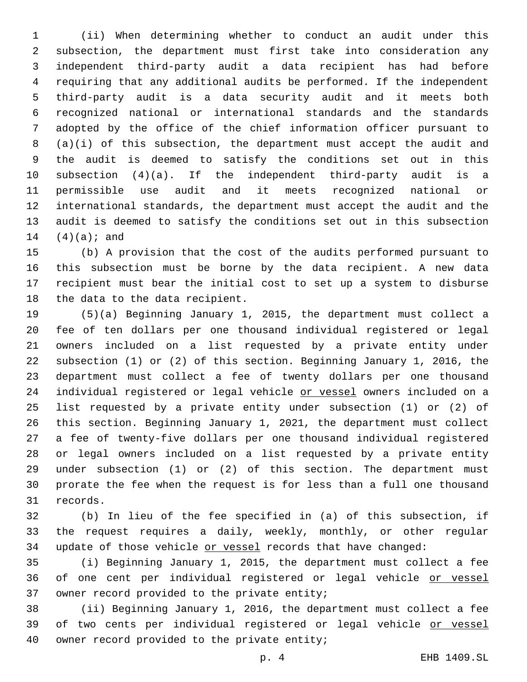(ii) When determining whether to conduct an audit under this subsection, the department must first take into consideration any independent third-party audit a data recipient has had before requiring that any additional audits be performed. If the independent third-party audit is a data security audit and it meets both recognized national or international standards and the standards adopted by the office of the chief information officer pursuant to (a)(i) of this subsection, the department must accept the audit and the audit is deemed to satisfy the conditions set out in this subsection (4)(a). If the independent third-party audit is a permissible use audit and it meets recognized national or international standards, the department must accept the audit and the audit is deemed to satisfy the conditions set out in this subsection  $(4)(a);$  and

 (b) A provision that the cost of the audits performed pursuant to this subsection must be borne by the data recipient. A new data recipient must bear the initial cost to set up a system to disburse 18 the data to the data recipient.

 (5)(a) Beginning January 1, 2015, the department must collect a fee of ten dollars per one thousand individual registered or legal owners included on a list requested by a private entity under subsection (1) or (2) of this section. Beginning January 1, 2016, the department must collect a fee of twenty dollars per one thousand 24 individual registered or legal vehicle or vessel owners included on a list requested by a private entity under subsection (1) or (2) of this section. Beginning January 1, 2021, the department must collect a fee of twenty-five dollars per one thousand individual registered or legal owners included on a list requested by a private entity under subsection (1) or (2) of this section. The department must prorate the fee when the request is for less than a full one thousand 31 records.

 (b) In lieu of the fee specified in (a) of this subsection, if the request requires a daily, weekly, monthly, or other regular 34 update of those vehicle or vessel records that have changed:

 (i) Beginning January 1, 2015, the department must collect a fee 36 of one cent per individual registered or legal vehicle or vessel 37 owner record provided to the private entity;

 (ii) Beginning January 1, 2016, the department must collect a fee 39 of two cents per individual registered or legal vehicle or vessel 40 owner record provided to the private entity;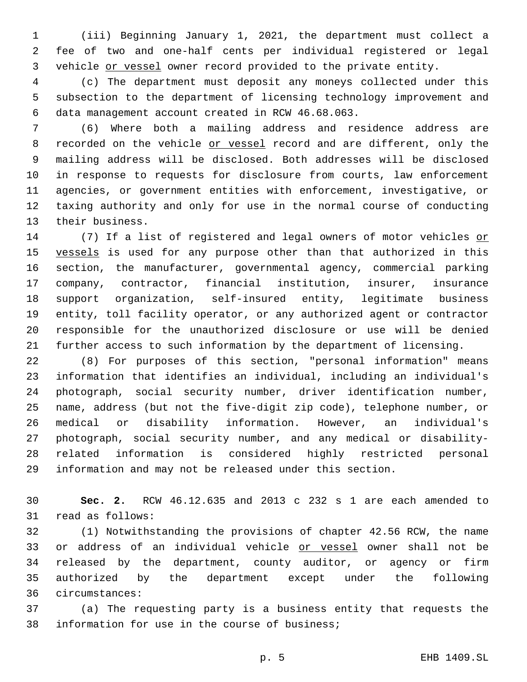(iii) Beginning January 1, 2021, the department must collect a fee of two and one-half cents per individual registered or legal vehicle or vessel owner record provided to the private entity.

 (c) The department must deposit any moneys collected under this subsection to the department of licensing technology improvement and data management account created in RCW 46.68.063.6

 (6) Where both a mailing address and residence address are 8 recorded on the vehicle or vessel record and are different, only the mailing address will be disclosed. Both addresses will be disclosed in response to requests for disclosure from courts, law enforcement agencies, or government entities with enforcement, investigative, or taxing authority and only for use in the normal course of conducting 13 their business.

14 (7) If a list of registered and legal owners of motor vehicles or 15 vessels is used for any purpose other than that authorized in this section, the manufacturer, governmental agency, commercial parking company, contractor, financial institution, insurer, insurance support organization, self-insured entity, legitimate business entity, toll facility operator, or any authorized agent or contractor responsible for the unauthorized disclosure or use will be denied further access to such information by the department of licensing.

 (8) For purposes of this section, "personal information" means information that identifies an individual, including an individual's photograph, social security number, driver identification number, name, address (but not the five-digit zip code), telephone number, or medical or disability information. However, an individual's photograph, social security number, and any medical or disability- related information is considered highly restricted personal information and may not be released under this section.

 **Sec. 2.** RCW 46.12.635 and 2013 c 232 s 1 are each amended to 31 read as follows:

 (1) Notwithstanding the provisions of chapter 42.56 RCW, the name 33 or address of an individual vehicle or vessel owner shall not be released by the department, county auditor, or agency or firm authorized by the department except under the following circumstances:36

 (a) The requesting party is a business entity that requests the 38 information for use in the course of business;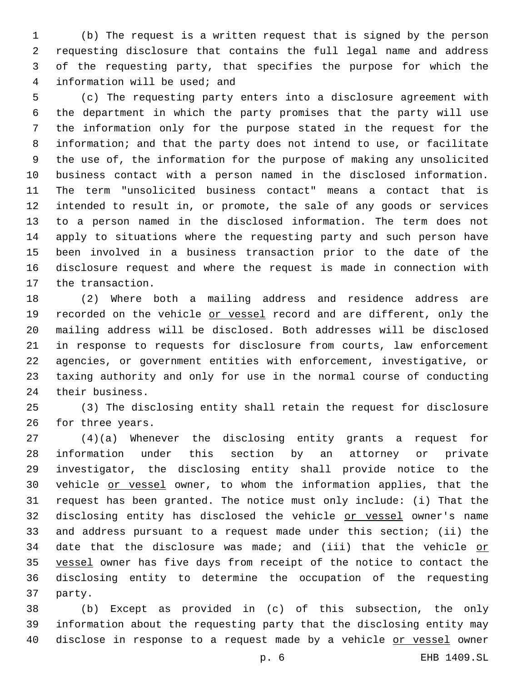(b) The request is a written request that is signed by the person requesting disclosure that contains the full legal name and address of the requesting party, that specifies the purpose for which the 4 information will be used; and

 (c) The requesting party enters into a disclosure agreement with the department in which the party promises that the party will use the information only for the purpose stated in the request for the information; and that the party does not intend to use, or facilitate the use of, the information for the purpose of making any unsolicited business contact with a person named in the disclosed information. The term "unsolicited business contact" means a contact that is intended to result in, or promote, the sale of any goods or services to a person named in the disclosed information. The term does not apply to situations where the requesting party and such person have been involved in a business transaction prior to the date of the disclosure request and where the request is made in connection with 17 the transaction.

 (2) Where both a mailing address and residence address are 19 recorded on the vehicle or vessel record and are different, only the mailing address will be disclosed. Both addresses will be disclosed in response to requests for disclosure from courts, law enforcement agencies, or government entities with enforcement, investigative, or taxing authority and only for use in the normal course of conducting 24 their business.

 (3) The disclosing entity shall retain the request for disclosure 26 for three years.

 (4)(a) Whenever the disclosing entity grants a request for information under this section by an attorney or private investigator, the disclosing entity shall provide notice to the 30 vehicle or vessel owner, to whom the information applies, that the request has been granted. The notice must only include: (i) That the 32 disclosing entity has disclosed the vehicle or vessel owner's name and address pursuant to a request made under this section; (ii) the 34 date that the disclosure was made; and (iii) that the vehicle or 35 vessel owner has five days from receipt of the notice to contact the disclosing entity to determine the occupation of the requesting 37 party.

 (b) Except as provided in (c) of this subsection, the only information about the requesting party that the disclosing entity may disclose in response to a request made by a vehicle or vessel owner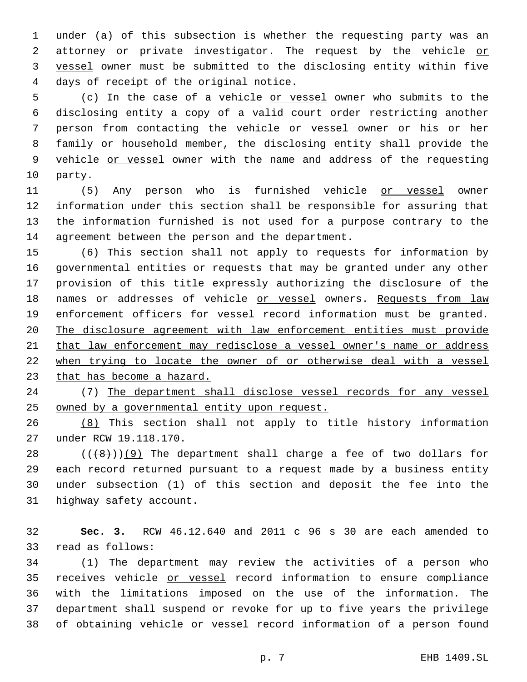under (a) of this subsection is whether the requesting party was an 2 attorney or private investigator. The request by the vehicle or vessel owner must be submitted to the disclosing entity within five 4 days of receipt of the original notice.

 (c) In the case of a vehicle or vessel owner who submits to the disclosing entity a copy of a valid court order restricting another person from contacting the vehicle or vessel owner or his or her family or household member, the disclosing entity shall provide the 9 vehicle or vessel owner with the name and address of the requesting 10 party.

 (5) Any person who is furnished vehicle or vessel owner information under this section shall be responsible for assuring that the information furnished is not used for a purpose contrary to the 14 agreement between the person and the department.

 (6) This section shall not apply to requests for information by governmental entities or requests that may be granted under any other provision of this title expressly authorizing the disclosure of the 18 names or addresses of vehicle or vessel owners. Requests from law enforcement officers for vessel record information must be granted. The disclosure agreement with law enforcement entities must provide that law enforcement may redisclose a vessel owner's name or address when trying to locate the owner of or otherwise deal with a vessel that has become a hazard.

 (7) The department shall disclose vessel records for any vessel owned by a governmental entity upon request.

 (8) This section shall not apply to title history information 27 under RCW 19.118.170.

 ( $(\frac{48}{})$ )(9) The department shall charge a fee of two dollars for each record returned pursuant to a request made by a business entity under subsection (1) of this section and deposit the fee into the 31 highway safety account.

 **Sec. 3.** RCW 46.12.640 and 2011 c 96 s 30 are each amended to 33 read as follows:

 (1) The department may review the activities of a person who receives vehicle or vessel record information to ensure compliance with the limitations imposed on the use of the information. The department shall suspend or revoke for up to five years the privilege 38 of obtaining vehicle or vessel record information of a person found